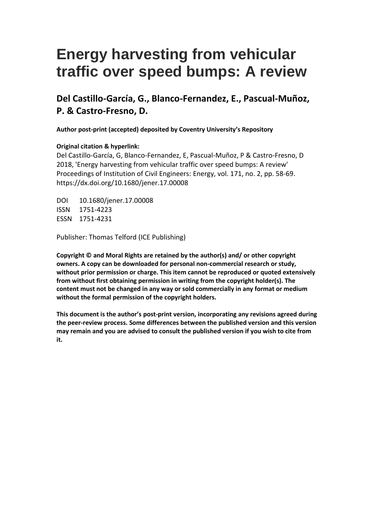# **Energy harvesting from vehicular traffic over speed bumps: A review**

## **Del Castillo-García, G., Blanco-Fernandez, E., Pascual-Muñoz, P. & Castro-Fresno, D.**

**Author post-print (accepted) deposited by Coventry University's Repository**

#### **Original citation & hyperlink:**

Del Castillo-García, G, Blanco-Fernandez, E, Pascual-Muñoz, P & Castro-Fresno, D 2018, 'Energy harvesting from vehicular traffic over speed bumps: A review' Proceedings of Institution of Civil Engineers: Energy, vol. 171, no. 2, pp. 58-69. https://dx.doi.org/10.1680/jener.17.00008

DOI 10.1680/jener.17.00008 ISSN 1751-4223 ESSN 1751-4231

Publisher: Thomas Telford (ICE Publishing)

**Copyright © and Moral Rights are retained by the author(s) and/ or other copyright owners. A copy can be downloaded for personal non-commercial research or study, without prior permission or charge. This item cannot be reproduced or quoted extensively from without first obtaining permission in writing from the copyright holder(s). The content must not be changed in any way or sold commercially in any format or medium without the formal permission of the copyright holders.** 

**This document is the author's post-print version, incorporating any revisions agreed during the peer-review process. Some differences between the published version and this version may remain and you are advised to consult the published version if you wish to cite from it.**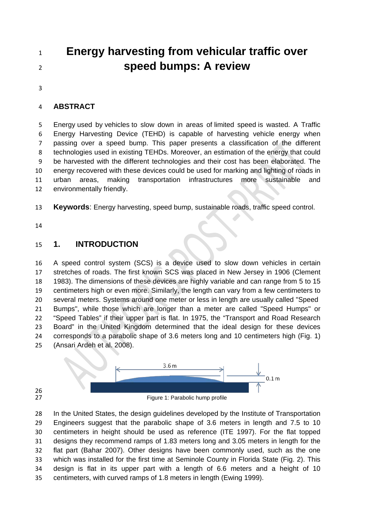# **Energy harvesting from vehicular traffic over speed bumps: A review**

### **ABSTRACT**

 Energy used by vehicles to slow down in areas of limited speed is wasted. A Traffic Energy Harvesting Device (TEHD) is capable of harvesting vehicle energy when passing over a speed bump. This paper presents a classification of the different technologies used in existing TEHDs. Moreover, an estimation of the energy that could be harvested with the different technologies and their cost has been elaborated. The energy recovered with these devices could be used for marking and lighting of roads in urban areas, making transportation infrastructures more sustainable and environmentally friendly.

**Keywords**: Energy harvesting, speed bump, sustainable roads, traffic speed control.

### **1. INTRODUCTION**

 A speed control system (SCS) is a device used to slow down vehicles in certain stretches of roads. The first known SCS was placed in New Jersey in 1906 (Clement 1983). The dimensions of these devices are highly variable and can range from 5 to 15 centimeters high or even more. Similarly, the length can vary from a few centimeters to several meters. Systems around one meter or less in length are usually called "Speed Bumps", while those which are longer than a meter are called "Speed Humps" or "Speed Tables" if their upper part is flat. In 1975, the "Transport and Road Research Board" in the United Kingdom determined that the ideal design for these devices corresponds to a parabolic shape of 3.6 meters long and 10 centimeters high (Fig. 1) (Ansari Ardeh et al. 2008).



 In the United States, the design guidelines developed by the Institute of Transportation Engineers suggest that the parabolic shape of 3.6 meters in length and 7.5 to 10 centimeters in height should be used as reference (ITE 1997). For the flat topped designs they recommend ramps of 1.83 meters long and 3.05 meters in length for the flat part (Bahar 2007). Other designs have been commonly used, such as the one which was installed for the first time at Seminole County in Florida State (Fig. 2). This design is flat in its upper part with a length of 6.6 meters and a height of 10 centimeters, with curved ramps of 1.8 meters in length (Ewing 1999).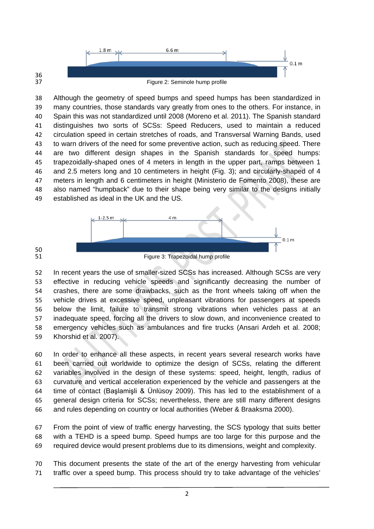

 Although the geometry of speed bumps and speed humps has been standardized in many countries, those standards vary greatly from ones to the others. For instance, in Spain this was not standardized until 2008 (Moreno et al. 2011). The Spanish standard distinguishes two sorts of SCSs: Speed Reducers, used to maintain a reduced circulation speed in certain stretches of roads, and Transversal Warning Bands, used to warn drivers of the need for some preventive action, such as reducing speed. There are two different design shapes in the Spanish standards for speed humps: trapezoidally-shaped ones of 4 meters in length in the upper part, ramps between 1 and 2.5 meters long and 10 centimeters in height (Fig. 3); and circularly-shaped of 4 meters in length and 6 centimeters in height (Ministerio de Fomento 2008), these are also named "humpback" due to their shape being very similar to the designs initially established as ideal in the UK and the US.



50<br>51

Figure 3: Trapezoidal hump profile

 In recent years the use of smaller-sized SCSs has increased. Although SCSs are very effective in reducing vehicle speeds and significantly decreasing the number of crashes, there are some drawbacks, such as the front wheels taking off when the vehicle drives at excessive speed, unpleasant vibrations for passengers at speeds below the limit, failure to transmit strong vibrations when vehicles pass at an inadequate speed, forcing all the drivers to slow down, and inconvenience created to emergency vehicles such as ambulances and fire trucks (Ansari Ardeh et al. 2008; Khorshid et al. 2007).

 In order to enhance all these aspects, in recent years several research works have been carried out worldwide to optimize the design of SCSs, relating the different variables involved in the design of these systems: speed, height, length, radius of curvature and vertical acceleration experienced by the vehicle and passengers at the time of contact (Başlamişli & Ünlüsoy 2009). This has led to the establishment of a general design criteria for SCSs; nevertheless, there are still many different designs and rules depending on country or local authorities (Weber & Braaksma 2000).

 From the point of view of traffic energy harvesting, the SCS typology that suits better with a TEHD is a speed bump. Speed humps are too large for this purpose and the required device would present problems due to its dimensions, weight and complexity.

 This document presents the state of the art of the energy harvesting from vehicular traffic over a speed bump. This process should try to take advantage of the vehicles'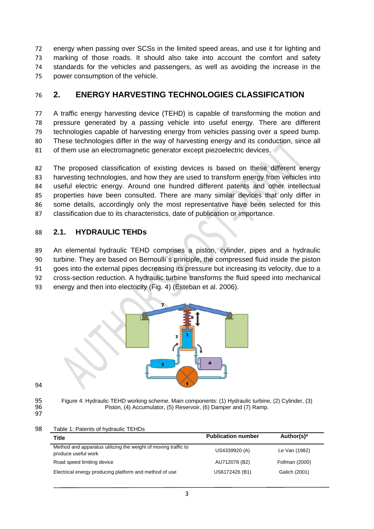energy when passing over SCSs in the limited speed areas, and use it for lighting and marking of those roads. It should also take into account the comfort and safety standards for the vehicles and passengers, as well as avoiding the increase in the power consumption of the vehicle.

### **2. ENERGY HARVESTING TECHNOLOGIES CLASSIFICATION**

 A traffic energy harvesting device (TEHD) is capable of transforming the motion and pressure generated by a passing vehicle into useful energy. There are different technologies capable of harvesting energy from vehicles passing over a speed bump. These technologies differ in the way of harvesting energy and its conduction, since all of them use an electromagnetic generator except piezoelectric devices.

 The proposed classification of existing devices is based on these different energy harvesting technologies, and how they are used to transform energy from vehicles into useful electric energy. Around one hundred different patents and other intellectual properties have been consulted. There are many similar devices that only differ in some details, accordingly only the most representative have been selected for this classification due to its characteristics, date of publication or importance.

### **2.1. HYDRAULIC TEHDs**

 An elemental hydraulic TEHD comprises a piston, cylinder, pipes and a hydraulic turbine. They are based on Bernoulli´s principle, the compressed fluid inside the piston goes into the external pipes decreasing its pressure but increasing its velocity, due to a cross-section reduction. A hydraulic turbine transforms the fluid speed into mechanical energy and then into electricity (Fig. 4) (Esteban et al. 2006).



 Figure 4: Hydraulic TEHD working scheme. Main components: (1) Hydraulic turbine, (2) Cylinder, (3) Piston, (4) Accumulator, (5) Reservoir, (6) Damper and (7) Ramp.

| 98 | Table 1: Patents of hydraulic TEHDs |
|----|-------------------------------------|
|    |                                     |

| $-$ 0.0 $-$ 0.10 $-$ 0.1 $-$ 0.1 $-$ 0.1 $-$ 0.1 $-$ 0.1 $-$ 0.1 $-$ 0.1 $-$ 0.1 $-$ 0.1 $-$ 0.1 $-$ 0.1 $-$ 0.1 $-$ 0.1 $-$ 0.1 $-$ 0.1 $-$ 0.1 $-$ 0.1 $-$ 0.1 $-$ 0.1 $-$ 0.1 $-$ 0.1 $-$ 0.1 $-$ 0.1 $-$ 0.1 $-$ 0.1 $-$ |                           |                        |
|------------------------------------------------------------------------------------------------------------------------------------------------------------------------------------------------------------------------------|---------------------------|------------------------|
| Title                                                                                                                                                                                                                        | <b>Publication number</b> | Author(s) <sup>a</sup> |
| Method and apparatus utilizing the weight of moving traffic to<br>produce useful work                                                                                                                                        | US4339920 (A)             | Le Van (1982)          |
| Road speed limiting device                                                                                                                                                                                                   | AU712078 (B2)             | Follman (2000)         |
| Electrical energy producing platform and method of use                                                                                                                                                                       | US6172426 (B1)            | Galich (2001)          |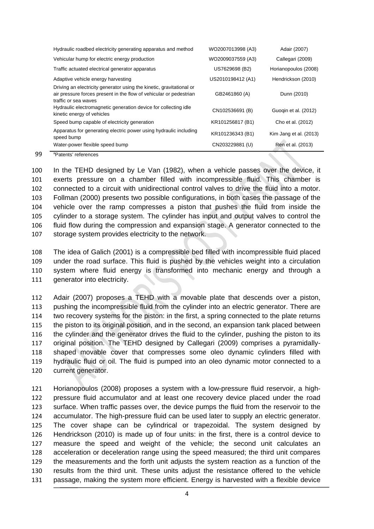| Hydraulic roadbed electricity generating apparatus and method                                                                                                                                                                         | WO2007013998 (A3)                | Adair (2007)                        |
|---------------------------------------------------------------------------------------------------------------------------------------------------------------------------------------------------------------------------------------|----------------------------------|-------------------------------------|
| Vehicular hump for electric energy production                                                                                                                                                                                         | WO2009037559 (A3)                | Callegari (2009)                    |
| Traffic actuated electrical generator apparatus                                                                                                                                                                                       | US7629698 (B2)                   | Horianopoulos (2008)                |
| Adaptive vehicle energy harvesting                                                                                                                                                                                                    | US2010198412 (A1)                | Hendrickson (2010)                  |
| Driving an electricity generator using the kinetic, gravitational or<br>air pressure forces present in the flow of vehicular or pedestrian<br>traffic or sea waves<br>Hydraulic electromagnetic generation device for collecting idle | GB2461860 (A)<br>CN102536691 (B) | Dunn (2010)<br>Guogin et al. (2012) |
| kinetic energy of vehicles                                                                                                                                                                                                            |                                  |                                     |
| Speed bump capable of electricity generation                                                                                                                                                                                          | KR101256817 (B1)                 | Cho et al. (2012)                   |
| Apparatus for generating electric power using hydraulic including<br>speed bump                                                                                                                                                       | KR101236343 (B1)                 | Kim Jang et al. (2013)              |
| Water-power flexible speed bump                                                                                                                                                                                                       | CN203229881 (U)                  | Ren et al. (2013)                   |

99 <sup>a</sup> Patents' references

 In the TEHD designed by Le Van (1982), when a vehicle passes over the device, it exerts pressure on a chamber filled with incompressible fluid. This chamber is connected to a circuit with unidirectional control valves to drive the fluid into a motor. Follman (2000) presents two possible configurations, in both cases the passage of the vehicle over the ramp compresses a piston that pushes the fluid from inside the cylinder to a storage system. The cylinder has input and output valves to control the fluid flow during the compression and expansion stage. A generator connected to the storage system provides electricity to the network.

 The idea of Galich (2001) is a compressible bed filled with incompressible fluid placed under the road surface. This fluid is pushed by the vehicles weight into a circulation system where fluid energy is transformed into mechanic energy and through a 111 generator into electricity.

 Adair (2007) proposes a TEHD with a movable plate that descends over a piston, pushing the incompressible fluid from the cylinder into an electric generator. There are two recovery systems for the piston: in the first, a spring connected to the plate returns the piston to its original position, and in the second, an expansion tank placed between the cylinder and the generator drives the fluid to the cylinder, pushing the piston to its original position. The TEHD designed by Callegari (2009) comprises a pyramidally- shaped movable cover that compresses some oleo dynamic cylinders filled with hydraulic fluid or oil. The fluid is pumped into an oleo dynamic motor connected to a current generator.

 Horianopoulos (2008) proposes a system with a low-pressure fluid reservoir, a high- pressure fluid accumulator and at least one recovery device placed under the road surface. When traffic passes over, the device pumps the fluid from the reservoir to the accumulator. The high-pressure fluid can be used later to supply an electric generator. The cover shape can be cylindrical or trapezoidal. The system designed by Hendrickson (2010) is made up of four units: in the first, there is a control device to measure the speed and weight of the vehicle; the second unit calculates an acceleration or deceleration range using the speed measured; the third unit compares the measurements and the forth unit adjusts the system reaction as a function of the results from the third unit. These units adjust the resistance offered to the vehicle passage, making the system more efficient. Energy is harvested with a flexible device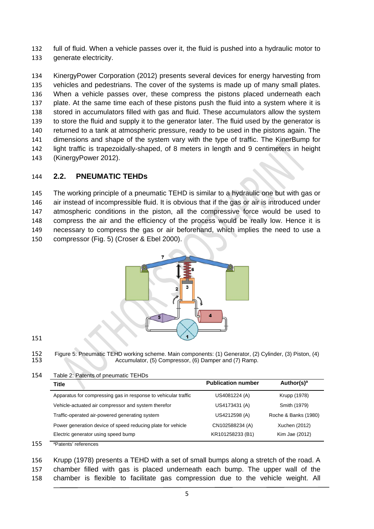full of fluid. When a vehicle passes over it, the fluid is pushed into a hydraulic motor to generate electricity.

 KinergyPower Corporation (2012) presents several devices for energy harvesting from vehicles and pedestrians. The cover of the systems is made up of many small plates. When a vehicle passes over, these compress the pistons placed underneath each plate. At the same time each of these pistons push the fluid into a system where it is stored in accumulators filled with gas and fluid. These accumulators allow the system to store the fluid and supply it to the generator later. The fluid used by the generator is returned to a tank at atmospheric pressure, ready to be used in the pistons again. The dimensions and shape of the system vary with the type of traffic. The KinerBump for light traffic is trapezoidally-shaped, of 8 meters in length and 9 centimeters in height (KinergyPower 2012).

### **2.2. PNEUMATIC TEHDs**

 The working principle of a pneumatic TEHD is similar to a hydraulic one but with gas or air instead of incompressible fluid. It is obvious that if the gas or air is introduced under atmospheric conditions in the piston, all the compressive force would be used to compress the air and the efficiency of the process would be really low. Hence it is necessary to compress the gas or air beforehand, which implies the need to use a compressor (Fig. 5) (Croser & Ebel 2000).



- 
- Figure 5: Pneumatic TEHD working scheme. Main components: (1) Generator, (2) Cylinder, (3) Piston, (4) Accumulator, (5) Compressor, (6) Damper and (7) Ramp.

| 154 | Table 2: Patents of pneumatic TEHDs                            |                           |                        |  |  |  |
|-----|----------------------------------------------------------------|---------------------------|------------------------|--|--|--|
|     | Title                                                          | <b>Publication number</b> | Author(s) <sup>a</sup> |  |  |  |
|     | Apparatus for compressing gas in response to vehicular traffic | US4081224 (A)             | Krupp (1978)           |  |  |  |
|     | Vehicle-actuated air compressor and system therefor            | US4173431 (A)             | Smith (1979)           |  |  |  |
|     | Traffic-operated air-powered generating system                 | US4212598 (A)             | Roche & Banks (1980)   |  |  |  |
|     | Power generation device of speed reducing plate for vehicle    | CN102588234 (A)           | Xuchen (2012)          |  |  |  |
|     | Electric generator using speed bump                            | KR101258233 (B1)          | Kim Jae (2012)         |  |  |  |
|     |                                                                |                           |                        |  |  |  |

155 <sup>a</sup> Patents' references

 Krupp (1978) presents a TEHD with a set of small bumps along a stretch of the road. A chamber filled with gas is placed underneath each bump. The upper wall of the chamber is flexible to facilitate gas compression due to the vehicle weight. All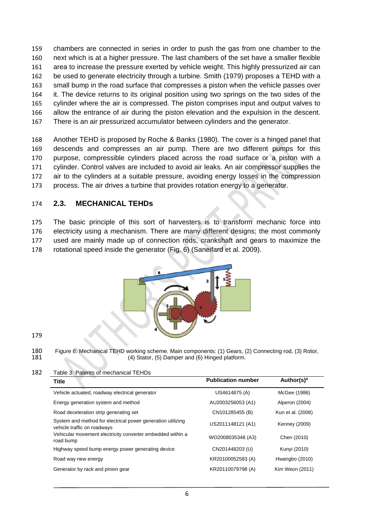chambers are connected in series in order to push the gas from one chamber to the next which is at a higher pressure. The last chambers of the set have a smaller flexible area to increase the pressure exerted by vehicle weight. This highly pressurized air can be used to generate electricity through a turbine. Smith (1979) proposes a TEHD with a small bump in the road surface that compresses a piston when the vehicle passes over it. The device returns to its original position using two springs on the two sides of the cylinder where the air is compressed. The piston comprises input and output valves to allow the entrance of air during the piston elevation and the expulsion in the descent. There is an air pressurized accumulator between cylinders and the generator.

 Another TEHD is proposed by Roche & Banks (1980). The cover is a hinged panel that descends and compresses an air pump. There are two different pumps for this purpose, compressible cylinders placed across the road surface or a piston with a cylinder. Control valves are included to avoid air leaks. An air compressor supplies the air to the cylinders at a suitable pressure, avoiding energy losses in the compression process. The air drives a turbine that provides rotation energy to a generator.

### **2.3. MECHANICAL TEHDs**

 The basic principle of this sort of harvesters is to transform mechanic force into electricity using a mechanism. There are many different designs; the most commonly used are mainly made up of connection rods, crankshaft and gears to maximize the rotational speed inside the generator (Fig. 6) (Saneifard et al. 2009).



- 180 Figure 6: Mechanical TEHD working scheme. Main components: (1) Gears, (2) Connecting rod, (3) Rotor, 181 (4) Stator. (5) Damper and (6) Hinged platform.  $(4)$  Stator,  $(5)$  Damper and  $(6)$  Hinged platform.
- Table 3: Patents of mechanical TEHDs

| <b>Title</b>                                                                               | <b>Publication number</b> | Author(s) <sup>a</sup> |
|--------------------------------------------------------------------------------------------|---------------------------|------------------------|
| Vehicle actuated, roadway electrical generator                                             | US4614875 (A)             | McGee (1986)           |
| Energy generation system and method                                                        | AU2003256053 (A1)         | Alperon (2004)         |
| Road deceleration strip generating set                                                     | CN101285455 (B)           | Kun et al. (2008)      |
| System and method for electrical power generation utilizing<br>vehicle traffic on roadways | US2011148121 (A1)         | <b>Kenney (2009)</b>   |
| Vehicular movement electricity converter embedded within a<br>road bump                    | WO2008035348 (A3)         | Chen (2010)            |
| Highway speed bump energy power generating device                                          | CN201448203 (U)           | Kunyi (2010)           |
| Road way new energy                                                                        | KR20100052583 (A)         | Hwangbo (2010)         |
| Generator by rack and pinion gear                                                          | KR20110079798 (A)         | Kim Weon (2011)        |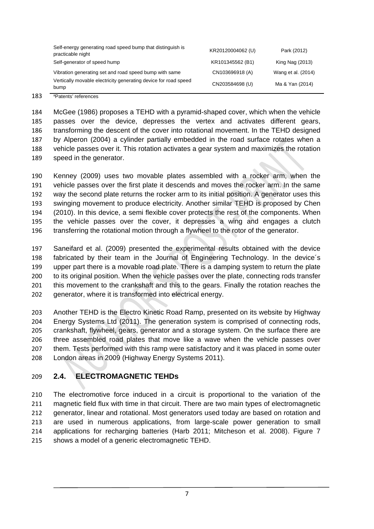| Self-energy generating road speed bump that distinguish is<br>practicable night | KR20120004062 (U) | Park (2012)        |
|---------------------------------------------------------------------------------|-------------------|--------------------|
| Self-generator of speed hump                                                    | KR101345562 (B1)  | King Nag (2013)    |
| Vibration generating set and road speed bump with same                          | CN103696918 (A)   | Wang et al. (2014) |
| Vertically movable electricity generating device for road speed<br>bump         | CN203584698 (U)   | Ma & Yan (2014)    |

#### 183 <sup>a</sup>Patents' references

 McGee (1986) proposes a TEHD with a pyramid-shaped cover, which when the vehicle passes over the device, depresses the vertex and activates different gears, transforming the descent of the cover into rotational movement. In the TEHD designed by Alperon (2004) a cylinder partially embedded in the road surface rotates when a vehicle passes over it. This rotation activates a gear system and maximizes the rotation speed in the generator.

 Kenney (2009) uses two movable plates assembled with a rocker arm, when the vehicle passes over the first plate it descends and moves the rocker arm. In the same way the second plate returns the rocker arm to its initial position. A generator uses this swinging movement to produce electricity. Another similar TEHD is proposed by Chen (2010). In this device, a semi flexible cover protects the rest of the components. When the vehicle passes over the cover, it depresses a wing and engages a clutch transferring the rotational motion through a flywheel to the rotor of the generator.

 Saneifard et al. (2009) presented the experimental results obtained with the device fabricated by their team in the Journal of Engineering Technology. In the device´s upper part there is a movable road plate. There is a damping system to return the plate 200 to its original position. When the vehicle passes over the plate, connecting rods transfer 201 this movement to the crankshaft and this to the gears. Finally the rotation reaches the generator, where it is transformed into electrical energy.

 Another TEHD is the Electro Kinetic Road Ramp, presented on its website by Highway Energy Systems Ltd (2011). The generation system is comprised of connecting rods, crankshaft, flywheel, gears, generator and a storage system. On the surface there are three assembled road plates that move like a wave when the vehicle passes over them. Tests performed with this ramp were satisfactory and it was placed in some outer London areas in 2009 (Highway Energy Systems 2011).

### **2.4. ELECTROMAGNETIC TEHDs**

 The electromotive force induced in a circuit is proportional to the variation of the magnetic field flux with time in that circuit. There are two main types of electromagnetic generator, linear and rotational. Most generators used today are based on rotation and are used in numerous applications, from large-scale power generation to small applications for recharging batteries (Harb 2011; Mitcheson et al. 2008). Figure 7 shows a model of a generic electromagnetic TEHD.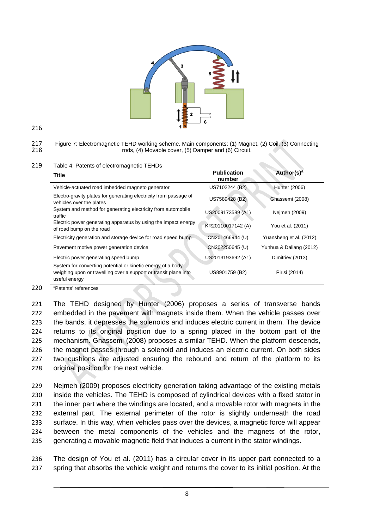

#### 216

#### 217 Figure 7: Electromagnetic TEHD working scheme. Main components: (1) Magnet, (2) Coil, (3) Connecting rods, (4) Movable cover, (5) Damper and (6) Circuit.

#### 219 Table 4: Patents of electromagnetic TEHDs

| Title                                                                                                                                            | <b>Publication</b><br>number | Author(s) <sup>a</sup>  |
|--------------------------------------------------------------------------------------------------------------------------------------------------|------------------------------|-------------------------|
| Vehicle-actuated road imbedded magneto generator                                                                                                 | US7102244 (B2)               | Hunter (2006)           |
| Electro-gravity plates for generating electricity from passage of<br>vehicles over the plates                                                    | US7589428 (B2)               | Ghassemi (2008)         |
| System and method for generating electricity from automobile<br>traffic                                                                          | US2009173589 (A1)            | Nejmeh (2009)           |
| Electric power generating apparatus by using the impact energy<br>of road bump on the road                                                       | KR20110017142 (A)            | You et al. (2011)       |
| Electricity generation and storage device for road speed bump                                                                                    | CN201466944 (U)              | Yuansheng et al. (2012) |
| Pavement motive power generation device                                                                                                          | CN202250645 (U)              | Yunhua & Daliang (2012) |
| Electric power generating speed bump                                                                                                             | US2013193692 (A1)            | Dimitriev (2013)        |
| System for converting potential or kinetic energy of a body<br>weighing upon or travelling over a support or transit plane into<br>useful energy | US8901759 (B2)               | Pirisi (2014)           |

220 <sup>a P</sup>atents' references

 The TEHD designed by Hunter (2006) proposes a series of transverse bands embedded in the pavement with magnets inside them. When the vehicle passes over the bands, it depresses the solenoids and induces electric current in them. The device returns to its original position due to a spring placed in the bottom part of the mechanism. Ghassemi (2008) proposes a similar TEHD. When the platform descends, the magnet passes through a solenoid and induces an electric current. On both sides two cushions are adjusted ensuring the rebound and return of the platform to its 228 original position for the next vehicle.

 Nejmeh (2009) proposes electricity generation taking advantage of the existing metals inside the vehicles. The TEHD is composed of cylindrical devices with a fixed stator in the inner part where the windings are located, and a movable rotor with magnets in the external part. The external perimeter of the rotor is slightly underneath the road surface. In this way, when vehicles pass over the devices, a magnetic force will appear between the metal components of the vehicles and the magnets of the rotor, generating a movable magnetic field that induces a current in the stator windings.

236 The design of You et al. (2011) has a circular cover in its upper part connected to a 237 spring that absorbs the vehicle weight and returns the cover to its initial position. At the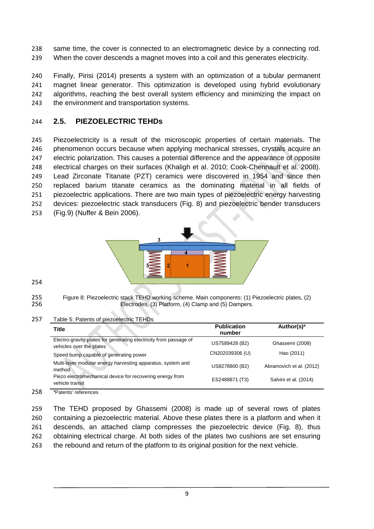same time, the cover is connected to an electromagnetic device by a connecting rod. When the cover descends a magnet moves into a coil and this generates electricity.

 Finally, Pirisi (2014) presents a system with an optimization of a tubular permanent magnet linear generator. This optimization is developed using hybrid evolutionary 242 algorithms, reaching the best overall system efficiency and minimizing the impact on 243 the environment and transportation systems.

### **2.5. PIEZOELECTRIC TEHDs**

 Piezoelectricity is a result of the microscopic properties of certain materials. The phenomenon occurs because when applying mechanical stresses, crystals acquire an electric polarization. This causes a potential difference and the appearance of opposite electrical charges on their surfaces (Khaligh et al. 2010; Cook-Chennault et al. 2008). Lead Zirconate Titanate (PZT) ceramics were discovered in 1954 and since then replaced barium titanate ceramics as the dominating material in all fields of piezoelectric applications. There are two main types of piezoelectric energy harvesting devices: piezoelectric stack transducers (Fig. 8) and piezoelectric bender transducers (Fig.9) (Nuffer & Bein 2006).



 Figure 8: Piezoelectric stack TEHD working scheme. Main components: (1) Piezoelectric plates, (2) Electrodes, (3) Platform, (4) Clamp and (5) Dampers.

#### Table 5: Patents of piezoelectric TEHDs

|     | Title                                                                                         | <b>Publication</b><br>number | Author(s) <sup>a</sup>   |
|-----|-----------------------------------------------------------------------------------------------|------------------------------|--------------------------|
|     | Electro-gravity plates for generating electricity from passage of<br>vehicles over the plates | US7589428 (B2)               | Ghassemi (2008)          |
|     | Speed bump capable of generating power                                                        | CN202039306 (U)              | Hao (2011)               |
|     | Multi-layer modular energy harvesting apparatus, system and<br>method                         | US8278800 (B2)               | Abramovich et al. (2012) |
|     | Piezo electromechanical device for recovering energy from<br>vehicle transit                  | ES2488871 (T3)               | Salvini et al. (2014)    |
| 258 | <sup>a</sup> Patents' references                                                              |                              |                          |

 The TEHD proposed by Ghassemi (2008) is made up of several rows of plates containing a piezoelectric material. Above these plates there is a platform and when it descends, an attached clamp compresses the piezoelectric device (Fig. 8), thus obtaining electrical charge. At both sides of the plates two cushions are set ensuring the rebound and return of the platform to its original position for the next vehicle.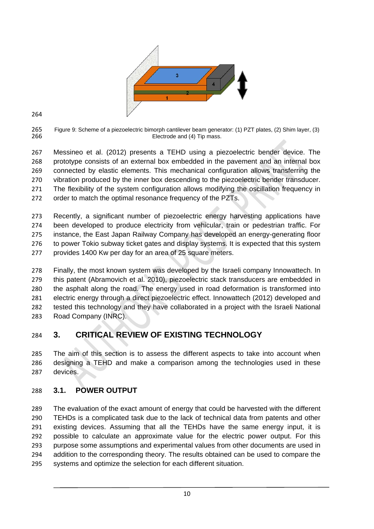

 Figure 9: Scheme of a piezoelectric bimorph cantilever beam generator: (1) PZT plates, (2) Shim layer, (3) Electrode and (4) Tip mass.

 Messineo et al. (2012) presents a TEHD using a piezoelectric bender device. The prototype consists of an external box embedded in the pavement and an internal box connected by elastic elements. This mechanical configuration allows transferring the vibration produced by the inner box descending to the piezoelectric bender transducer. 271 The flexibility of the system configuration allows modifying the oscillation frequency in order to match the optimal resonance frequency of the PZTs.

 Recently, a significant number of piezoelectric energy harvesting applications have been developed to produce electricity from vehicular, train or pedestrian traffic. For instance, the East Japan Railway Company has developed an energy-generating floor to power Tokio subway ticket gates and display systems. It is expected that this system provides 1400 Kw per day for an area of 25 square meters.

 Finally, the most known system was developed by the Israeli company Innowattech. In this patent (Abramovich et al. 2010), piezoelectric stack transducers are embedded in the asphalt along the road. The energy used in road deformation is transformed into electric energy through a direct piezoelectric effect. Innowattech (2012) developed and tested this technology and they have collaborated in a project with the Israeli National Road Company (INRC).

### **3. CRITICAL REVIEW OF EXISTING TECHNOLOGY**

 The aim of this section is to assess the different aspects to take into account when designing a TEHD and make a comparison among the technologies used in these devices.

### **3.1. POWER OUTPUT**

 The evaluation of the exact amount of energy that could be harvested with the different TEHDs is a complicated task due to the lack of technical data from patents and other existing devices. Assuming that all the TEHDs have the same energy input, it is possible to calculate an approximate value for the electric power output. For this purpose some assumptions and experimental values from other documents are used in addition to the corresponding theory. The results obtained can be used to compare the systems and optimize the selection for each different situation.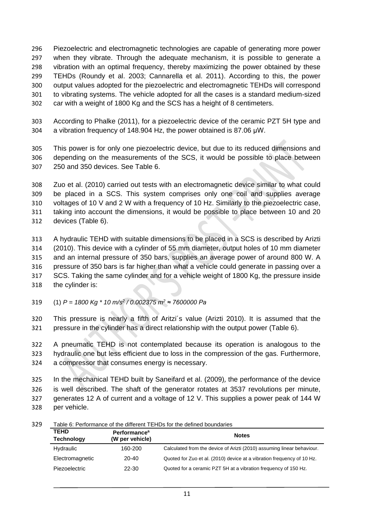Piezoelectric and electromagnetic technologies are capable of generating more power when they vibrate. Through the adequate mechanism, it is possible to generate a vibration with an optimal frequency, thereby maximizing the power obtained by these TEHDs (Roundy et al. 2003; Cannarella et al. 2011). According to this, the power output values adopted for the piezoelectric and electromagnetic TEHDs will correspond to vibrating systems. The vehicle adopted for all the cases is a standard medium-sized car with a weight of 1800 Kg and the SCS has a height of 8 centimeters.

 According to Phalke (2011), for a piezoelectric device of the ceramic PZT 5H type and a vibration frequency of 148.904 Hz, the power obtained is 87.06 μW.

 This power is for only one piezoelectric device, but due to its reduced dimensions and depending on the measurements of the SCS, it would be possible to place between 250 and 350 devices. See Table 6.

 Zuo et al. (2010) carried out tests with an electromagnetic device similar to what could be placed in a SCS. This system comprises only one coil and supplies average voltages of 10 V and 2 W with a frequency of 10 Hz. Similarly to the piezoelectric case, taking into account the dimensions, it would be possible to place between 10 and 20 devices (Table 6).

 A hydraulic TEHD with suitable dimensions to be placed in a SCS is described by Arizti (2010). This device with a cylinder of 55 mm diameter, output holes of 10 mm diameter and an internal pressure of 350 bars, supplies an average power of around 800 W. A pressure of 350 bars is far higher than what a vehicle could generate in passing over a SCS. Taking the same cylinder and for a vehicle weight of 1800 Kg, the pressure inside the cylinder is:

(1) *P = 1800 Kg \* 10 m/s2 / 0.002375 m2 ≈ 7600000 Pa* 

 This pressure is nearly a fifth of Aritzi´s value (Arizti 2010). It is assumed that the pressure in the cylinder has a direct relationship with the output power (Table 6).

 A pneumatic TEHD is not contemplated because its operation is analogous to the hydraulic one but less efficient due to loss in the compression of the gas. Furthermore, a compressor that consumes energy is necessary.

 In the mechanical TEHD built by Saneifard et al. (2009), the performance of the device is well described. The shaft of the generator rotates at 3537 revolutions per minute, generates 12 A of current and a voltage of 12 V. This supplies a power peak of 144 W per vehicle.

| <b>TEHD</b><br><b>Technology</b> | <b>Performance</b> <sup>a</sup><br>(W per vehicle) | <b>Notes</b>                                                           |
|----------------------------------|----------------------------------------------------|------------------------------------------------------------------------|
| Hydraulic                        | 160-200                                            | Calculated from the device of Arizti (2010) assuming linear behaviour. |
| Electromagnetic                  | $20 - 40$                                          | Quoted for Zuo et al. (2010) device at a vibration frequency of 10 Hz. |
| Piezoelectric                    | $22 - 30$                                          | Quoted for a ceramic PZT 5H at a vibration frequency of 150 Hz.        |

#### Table 6: Performance of the different TEHDs for the defined boundaries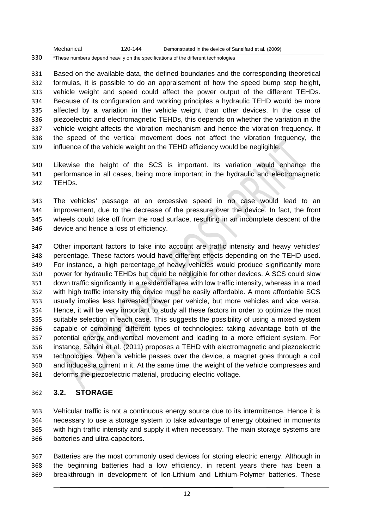- Mechanical 120-144 Demonstrated in the device of Saneifard et al. (2009)
- 330 These numbers depend heavily on the specifications of the different technologies

 Based on the available data, the defined boundaries and the corresponding theoretical formulas, it is possible to do an appraisement of how the speed bump step height, vehicle weight and speed could affect the power output of the different TEHDs. Because of its configuration and working principles a hydraulic TEHD would be more affected by a variation in the vehicle weight than other devices. In the case of piezoelectric and electromagnetic TEHDs, this depends on whether the variation in the vehicle weight affects the vibration mechanism and hence the vibration frequency. If the speed of the vertical movement does not affect the vibration frequency, the influence of the vehicle weight on the TEHD efficiency would be negligible.

 Likewise the height of the SCS is important. Its variation would enhance the performance in all cases, being more important in the hydraulic and electromagnetic TEHDs.

 The vehicles' passage at an excessive speed in no case would lead to an improvement, due to the decrease of the pressure over the device. In fact, the front wheels could take off from the road surface, resulting in an incomplete descent of the device and hence a loss of efficiency.

 Other important factors to take into account are traffic intensity and heavy vehicles' percentage. These factors would have different effects depending on the TEHD used. For instance, a high percentage of heavy vehicles would produce significantly more power for hydraulic TEHDs but could be negligible for other devices. A SCS could slow down traffic significantly in a residential area with low traffic intensity, whereas in a road with high traffic intensity the device must be easily affordable. A more affordable SCS usually implies less harvested power per vehicle, but more vehicles and vice versa. Hence, it will be very important to study all these factors in order to optimize the most suitable selection in each case. This suggests the possibility of using a mixed system capable of combining different types of technologies: taking advantage both of the potential energy and vertical movement and leading to a more efficient system. For instance, Salvini et al. (2011) proposes a TEHD with electromagnetic and piezoelectric technologies. When a vehicle passes over the device, a magnet goes through a coil and induces a current in it. At the same time, the weight of the vehicle compresses and deforms the piezoelectric material, producing electric voltage.

### **3.2. STORAGE**

 Vehicular traffic is not a continuous energy source due to its intermittence. Hence it is necessary to use a storage system to take advantage of energy obtained in moments with high traffic intensity and supply it when necessary. The main storage systems are batteries and ultra-capacitors.

 Batteries are the most commonly used devices for storing electric energy. Although in the beginning batteries had a low efficiency, in recent years there has been a breakthrough in development of Ion-Lithium and Lithium-Polymer batteries. These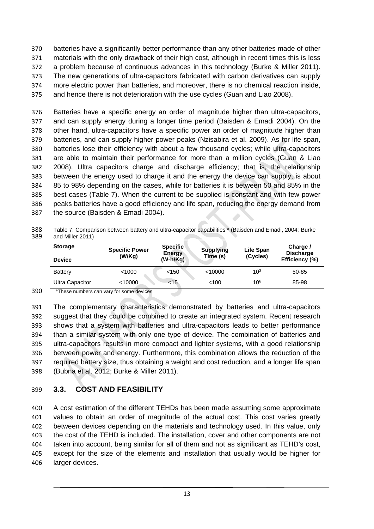batteries have a significantly better performance than any other batteries made of other materials with the only drawback of their high cost, although in recent times this is less a problem because of continuous advances in this technology (Burke & Miller 2011). The new generations of ultra-capacitors fabricated with carbon derivatives can supply more electric power than batteries, and moreover, there is no chemical reaction inside, and hence there is not deterioration with the use cycles (Guan and Liao 2008).

 Batteries have a specific energy an order of magnitude higher than ultra-capacitors, and can supply energy during a longer time period (Baisden & Emadi 2004). On the other hand, ultra-capacitors have a specific power an order of magnitude higher than batteries, and can supply higher power peaks (Nzisabira et al. 2009). As for life span, batteries lose their efficiency with about a few thousand cycles; while ultra-capacitors are able to maintain their performance for more than a million cycles (Guan & Liao 2008). Ultra capacitors charge and discharge efficiency; that is, the relationship between the energy used to charge it and the energy the device can supply, is about 85 to 98% depending on the cases, while for batteries it is between 50 and 85% in the best cases (Table 7). When the current to be supplied is constant and with few power peaks batteries have a good efficiency and life span, reducing the energy demand from the source (Baisden & Emadi 2004).

388 Table 7: Comparison between battery and ultra-capacitor capabilities <sup>a</sup> (Baisden and Emadi, 2004; Burke 389<br>389 and Miller 2011) and Miller )

| <b>Storage</b>  |                                                            | <b>Specific</b><br><b>Specific Power</b> | <b>Supplying</b> | Life Span<br>(Cycles) | Charge /<br><b>Discharge</b><br>Efficiency (%) |
|-----------------|------------------------------------------------------------|------------------------------------------|------------------|-----------------------|------------------------------------------------|
| <b>Device</b>   | (W/Kg)                                                     | Energy<br>$(W-h/Kq)$                     | Time (s)         |                       |                                                |
| Battery         | < 1000                                                     | < 150                                    | < 10000          | $10^{3}$              | 50-85                                          |
| Ultra Capacitor | < 10000                                                    | < 15                                     | <100             | $10^{6}$              | 85-98                                          |
|                 | atta a a sa shekarar a a shekarar fan a shekarar ta shekar |                                          |                  |                       |                                                |

390 <sup>a</sup> These numbers can vary for some devices

 The complementary characteristics demonstrated by batteries and ultra-capacitors suggest that they could be combined to create an integrated system. Recent research shows that a system with batteries and ultra-capacitors leads to better performance than a similar system with only one type of device. The combination of batteries and ultra-capacitors results in more compact and lighter systems, with a good relationship between power and energy. Furthermore, this combination allows the reduction of the required battery size, thus obtaining a weight and cost reduction, and a longer life span (Bubna et al. 2012; Burke & Miller 2011).

### **3.3. COST AND FEASIBILITY**

 A cost estimation of the different TEHDs has been made assuming some approximate values to obtain an order of magnitude of the actual cost. This cost varies greatly between devices depending on the materials and technology used. In this value, only the cost of the TEHD is included. The installation, cover and other components are not taken into account, being similar for all of them and not as significant as TEHD's cost, except for the size of the elements and installation that usually would be higher for larger devices.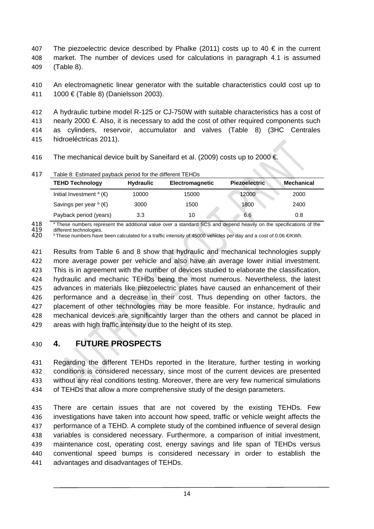407 The piezoelectric device described by Phalke (2011) costs up to 40  $\epsilon$  in the current market. The number of devices used for calculations in paragraph 4.1 is assumed (Table 8).

 An electromagnetic linear generator with the suitable characteristics could cost up to 1000 € (Table 8) (Danielsson 2003).

 A hydraulic turbine model R-125 or CJ-750W with suitable characteristics has a cost of nearly 2000 €. Also, it is necessary to add the cost of other required components such as cylinders, reservoir, accumulator and valves (Table 8) (3HC Centrales hidroeléctricas 2011).

The mechanical device built by Saneifard et al. (2009) costs up to 2000 €.

Table 8: Estimated payback period for the different TEHDs

| <b>TEHD Technology</b>             | <b>Hydraulic</b> | <b>Electromagnetic</b> | <b>Piezoelectric</b> | Mechanical |  |  |
|------------------------------------|------------------|------------------------|----------------------|------------|--|--|
| Initial Investment $a(\epsilon)$   | 10000            | 15000                  | 12000                | 2000       |  |  |
| Savings per year $\flat$ ( $\in$ ) | 3000             | 1500                   | 1800                 | 2400       |  |  |
| Payback period (years)             | 3.3              | 10                     | 6.6                  | 0.8        |  |  |
|                                    |                  |                        |                      |            |  |  |

<sup>a</sup> These numbers represent the additional value over a standard SCS and depend heavily on the specifications of the 419 different technologies. 419 different technologies.<br>420 b These numbers have

 $^{\rm b}$  These numbers have been calculated for a traffic intensity of 45000 vehicles per day and a cost of 0.06 €/KWh.

 Results from Table 6 and 8 show that hydraulic and mechanical technologies supply more average power per vehicle and also have an average lower initial investment. This is in agreement with the number of devices studied to elaborate the classification, hydraulic and mechanic TEHDs being the most numerous. Nevertheless, the latest advances in materials like piezoelectric plates have caused an enhancement of their performance and a decrease in their cost. Thus depending on other factors, the placement of other technologies may be more feasible. For instance, hydraulic and mechanical devices are significantly larger than the others and cannot be placed in areas with high traffic intensity due to the height of its step.

### **4. FUTURE PROSPECTS**

 Regarding the different TEHDs reported in the literature, further testing in working conditions is considered necessary, since most of the current devices are presented without any real conditions testing. Moreover, there are very few numerical simulations of TEHDs that allow a more comprehensive study of the design parameters.

 There are certain issues that are not covered by the existing TEHDs. Few investigations have taken into account how speed, traffic or vehicle weight affects the performance of a TEHD. A complete study of the combined influence of several design variables is considered necessary. Furthermore, a comparison of initial investment, maintenance cost, operating cost, energy savings and life span of TEHDs versus conventional speed bumps is considered necessary in order to establish the advantages and disadvantages of TEHDs.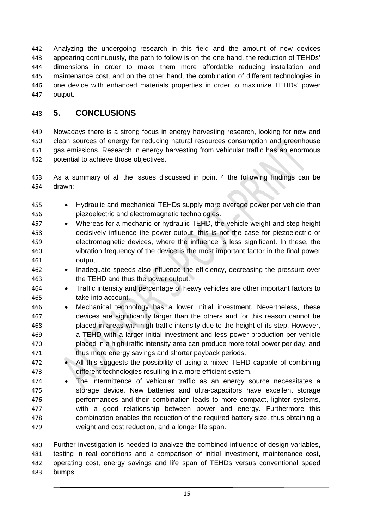Analyzing the undergoing research in this field and the amount of new devices appearing continuously, the path to follow is on the one hand, the reduction of TEHDs' dimensions in order to make them more affordable reducing installation and maintenance cost, and on the other hand, the combination of different technologies in one device with enhanced materials properties in order to maximize TEHDs' power output.

### **5. CONCLUSIONS**

 Nowadays there is a strong focus in energy harvesting research, looking for new and clean sources of energy for reducing natural resources consumption and greenhouse gas emissions. Research in energy harvesting from vehicular traffic has an enormous potential to achieve those objectives.

- As a summary of all the issues discussed in point 4 the following findings can be drawn:
- Hydraulic and mechanical TEHDs supply more average power per vehicle than piezoelectric and electromagnetic technologies.
- Whereas for a mechanic or hydraulic TEHD, the vehicle weight and step height decisively influence the power output, this is not the case for piezoelectric or electromagnetic devices, where the influence is less significant. In these, the vibration frequency of the device is the most important factor in the final power output.
- Inadequate speeds also influence the efficiency, decreasing the pressure over the TEHD and thus the power output.
- Traffic intensity and percentage of heavy vehicles are other important factors to take into account.
- Mechanical technology has a lower initial investment. Nevertheless, these devices are significantly larger than the others and for this reason cannot be placed in areas with high traffic intensity due to the height of its step. However, a TEHD with a larger initial investment and less power production per vehicle placed in a high traffic intensity area can produce more total power per day, and thus more energy savings and shorter payback periods.
- All this suggests the possibility of using a mixed TEHD capable of combining different technologies resulting in a more efficient system.
- The intermittence of vehicular traffic as an energy source necessitates a storage device. New batteries and ultra-capacitors have excellent storage performances and their combination leads to more compact, lighter systems, with a good relationship between power and energy. Furthermore this combination enables the reduction of the required battery size, thus obtaining a weight and cost reduction, and a longer life span.

 Further investigation is needed to analyze the combined influence of design variables, testing in real conditions and a comparison of initial investment, maintenance cost, operating cost, energy savings and life span of TEHDs versus conventional speed bumps.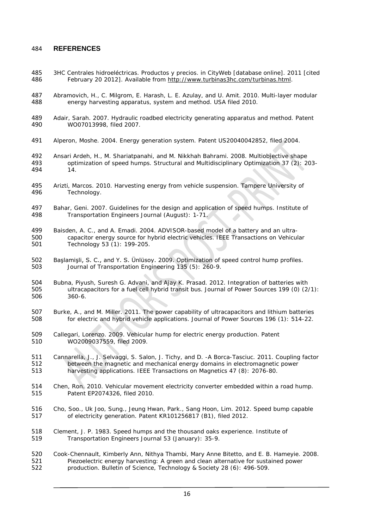#### **REFERENCES**

- 485 3HC Centrales hidroeléctricas. Productos y precios. in CityWeb [database online]. 2011 [cited 486 [database online]. 2011 [cited 486 [database online]. 2011 [cited February 20 2012]. Available from [http://www.turbinas3hc.com/turbinas.html.](http://www.turbinas3hc.com/turbinas.html)
- Abramovich, H., C. Milgrom, E. Harash, L. E. Azulay, and U. Amit. 2010. *Multi-layer modular energy harvesting apparatus, system and method.* USA filed 2010.
- 489 Adair, Sarah. 2007. *Hydraulic roadbed electricity generating apparatus and method.* Patent 490 **WOO7013998.** filed 2007. WO07013998, filed 2007.
- Alperon, Moshe. 2004. *Energy generation system.* Patent US20040042852, filed 2004.
- 492 Ansari Ardeh, H., M. Shariatpanahi, and M. Nikkhah Bahrami. 2008. Multiobjective shape<br>493 optimization of speed humps. Structural and Multidisciplinary Optimization 37 (2): 2 optimization of speed humps. *Structural and Multidisciplinary Optimization* 37 (2): 203-<br>14
- Arizti, Marcos. 2010. Harvesting energy from vehicle suspension. Tampere University of Technology.
- Bahar, Geni. 2007. Guidelines for the design and application of speed humps. *Institute of Transportation Engineers Journal* (August): 1-71.
- 499 Baisden, A. C., and A. Emadi. 2004. ADVISOR-based model of a battery and an ultra-<br>500 capacitor energy source for hybrid electric vehicles. IEEE Transactions on Vehicul capacitor energy source for hybrid electric vehicles. *IEEE Transactions on Vehicular Technology* 53 (1): 199-205.
- 502 Başlamişli, S. C., and Y. S. Ünlüsoy. 2009. Optimization of speed control hump profiles.<br>503 *Journal of Transportation Engineering* 135 (5): 260-9. *Journal of Transportation Engineering* 135 (5): 260-9.
- 504 Bubna, Piyush, Suresh G. Advani, and Ajay K. Prasad. 2012. Integration of batteries with<br>505 ultracapacitors for a fuel cell hybrid transit bus. Journal of Power Sources 199 (0) (2) ultracapacitors for a fuel cell hybrid transit bus. *Journal of Power Sources* 199 (0) (2/1): 360-6.
- 507 Burke, A., and M. Miller. 2011. The power capability of ultracapacitors and lithium batteries<br>508 for electric and hybrid vehicle applications. Journal of Power Sources 196 (1): 514-22. for electric and hybrid vehicle applications. *Journal of Power Sources* 196 (1): 514-22.
- Callegari, Lorenzo. 2009. *Vehicular hump for electric energy production.* Patent WO2009037559, filed 2009.
- 511 Cannarella, J., J. Selvaggi, S. Salon, J. Tichy, and D. -A Borca-Tasciuc. 2011. Coupling factor<br>512 between the magnetic and mechanical energy domains in electromagnetic power 512 between the magnetic and mechanical energy domains in electromagnetic power<br>513 baryesting applications. IFFF Transactions on Magnetics 47 (8): 2076-80. harvesting applications. *IEEE Transactions on Magnetics* 47 (8): 2076-80.
- Chen, Ron. 2010. *Vehicular movement electricity converter embedded within a road hump.*  Patent EP2074326, filed 2010.
- Cho, Soo., Uk Joo, Sung., Jeung Hwan, Park., Sang Hoon, Lim. 2012. *Speed bump capable of electricity generation*. Patent KR101256817 (B1), filed 2012.
- Clement, J. P. 1983. Speed humps and the thousand oaks experience. *Institute of Transportation Engineers Journal* 53 (January): 35-9.
- 520 Cook-Chennault, Kimberly Ann, Nithya Thambi, Mary Anne Bitetto, and E. B. Hameyie. 2008.<br>521 Piezoelectric energy harvesting: A green and clean alternative for sustained power 521 Piezoelectric energy harvesting: A green and clean alternative for sustained power<br>522 production. Bulletin of Science. Technology & Society 28 (6): 496-509. production. *Bulletin of Science, Technology & Society* 28 (6): 496-509.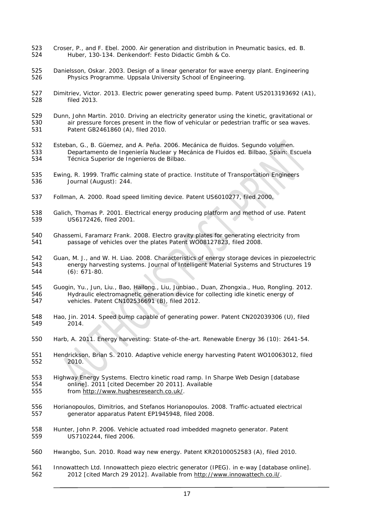- 523 Croser, P., and F. Ebel. 2000. Air generation and distribution in Pneumatic basics, ed. B.<br>524 Huber. 130-134. Denkendorf: Festo Didactic Gmbh & Co. Huber, 130-134. Denkendorf: Festo Didactic Gmbh & Co.
- 525 Danielsson, Oskar. 2003. Design of a linear generator for wave energy plant. Engineering<br>526 Physics Programme. Uppsala University School of Engineering. Physics Programme. Uppsala University School of Engineering.
- 527 Dimitriev, Victor. 2013. *Electric power generating speed bump*. Patent US2013193692 (A1), filed 2013.
- 529 Dunn, John Martin. 2010. *Driving an electricity generator using the kinetic, gravitational or*  530 *air pressure forces present in the flow of vehicular or pedestrian traffic or sea waves.* Patent GB2461860 (A), filed 2010.
- 532 Esteban, G., B. Güemez, and A. Peña. 2006. *Mecánica de fluidos. Segundo volumen*. 533 Departamento de Ingeniería Nuclear y Mecánica de Fluidos ed. Bilbao, Spain: Escuela<br>534 Técnica Superior de Ingenieros de Bilbao. Técnica Superior de Ingenieros de Bilbao.
- 535 Ewing, R. 1999. Traffic calming state of practice. *Institute of Transportation Engineers*  536 *Journal* (August): 244.
- 537 Follman, A. 2000. *Road speed limiting device.* Patent US6010277, filed 2000.
- 538 Galich, Thomas P. 2001. *Electrical energy producing platform and method of use.* Patent 539 US6172426, filed 2001. 539 US6172426, filed 2001.
- 540 Ghassemi, Faramarz Frank. 2008. *Electro gravity plates for generating electricity from*  541 *passage of vehicles over the plates* Patent WO08127823, filed 2008.
- 542 Guan, M. J., and W. H. Liao. 2008. Characteristics of energy storage devices in piezoelectric<br>543 energy harvesting systems. Journal of Intelligent Material Systems and Structures 19 543 energy harvesting systems. *Journal of Intelligent Material Systems and Structures* 19  $(6): 671-80.$
- 545 Guogin, Yu., Jun, Liu., Bao, Hailong., Liu, Junbiao., Duan, Zhongxia., Huo, Rongling. 2012.<br>546 *Hydraulic electromagnetic generation device for collecting idle kinetic energy of* 546 *Hydraulic electromagnetic generation device for collecting idle kinetic energy of*  547 *vehicles*. Patent CN102536691 (B), filed 2012.
- 548 Hao, Jin. 2014. *Speed bump capable of generating power*. Patent CN202039306 (U), filed  $2014$
- 550 Harb, A. 2011. Energy harvesting: State-of-the-art. *Renewable Energy* 36 (10): 2641-54.
- 551 Hendrickson, Brian S. 2010. *Adaptive vehicle energy harvesting* Patent WO10063012, filed 2010.
- 553 Highway Energy Systems. Electro kinetic road ramp. In Sharpe Web Design [database<br>554 onlinel, 2011 Icited December 20 2011]. Available 554 online]. 2011 [cited December 20 2011]. Available<br>555 from http://www.hughesresearch.co.uk/. from [http://www.hughesresearch.co.uk/.](http://www.hughesresearch.co.uk/)
- 556 Horianopoulos, Dimitrios, and Stefanos Horianopoulos. 2008. *Traffic-actuated electrical*  557 *generator apparatus* Patent EP1945948, filed 2008.
- 558 Hunter, John P. 2006. *Vehicle actuated road imbedded magneto generator.* Patent 559 US7102244, filed 2006.
- 560 Hwangbo, Sun. 2010. *Road way new energy*. Patent KR20100052583 (A), filed 2010.
- 561 Innowattech Ltd. Innowattech piezo electric generator (IPEG). in e-way [database online].<br>562 2012 [cited March 29 2012]. Available from http://www.innowattech.co.il/. 562 2012 [cited March 29 2012]. Available from [http://www.innowattech.co.il/.](http://www.innowattech.co.il/)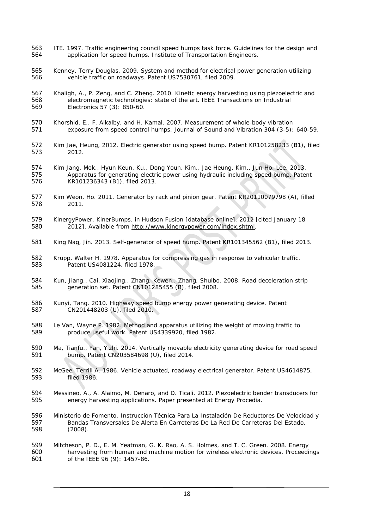- 563 ITE. 1997. Traffic engineering council speed humps task force. Guidelines for the design and 564 application for speed humps. *Institute of Transportation Engineers*. application for speed humps. *Institute of Transportation Engineers*.
- Kenney, Terry Douglas. 2009. *System and method for electrical power generation utilizing vehicle traffic on roadways.* Patent US7530761, filed 2009.
- 567 Khaligh, A., P. Zeng, and C. Zheng. 2010. Kinetic energy harvesting using piezoelectric and<br>568 electromagnetic technologies: state of the art. IEEE Transactions on Industrial 568 electromagnetic technologies: state of the art. *IEEE Transactions on Industrial* 569 Electronics 57 (3): 850-60. *Electronics* 57 (3): 850-60.
- 570 Khorshid, E., F. Alkalby, and H. Kamal. 2007. Measurement of whole-body vibration<br>571 exposure from speed control bumps *lournal of Sound and Vibration* 304 (3-5): exposure from speed control humps. *Journal of Sound and Vibration* 304 (3-5): 640-59.
- Kim Jae, Heung, 2012. *Electric generator using speed bump*. Patent KR101258233 (B1), filed 2012.
- 574 Kim Jang, Mok., Hyun Keun, Ku., Dong Youn, Kim., Jae Heung, Kim., Jun Ho, Lee. 2013.<br>575 Apparatus for generating electric power using hydraulic including speed bump. Pater *Apparatus for generating electric power using hydraulic including speed bump*. Patent KR101236343 (B1), filed 2013.
- Kim Weon, Ho. 2011. *Generator by rack and pinion gear*. Patent KR20110079798 (A), filled 2011.
- 579 KinergyPower. KinerBumps. in Hudson Fusion [database online]. 2012 [cited January 18<br>580 2012]. Available from http://www.kinergypower.com/index.shtml. 2012]. Available from [http://www.kinergypower.com/index.shtml.](http://www.kinergypower.com/index.shtml)
- King Nag, Jin. 2013. *Self-generator of speed hump*. Patent KR101345562 (B1), filed 2013.
- Krupp, Walter H. 1978. *Apparatus for compressing gas in response to vehicular traffic.*  .<br>Patent US4081224, filed 1978.
- Kun, Jiang., Cai, Xiaojing., Zhang, Kewen., Zhang, Shuibo. 2008. *Road deceleration strip generation set*. Patent CN101285455 (B), filed 2008.
- Kunyi, Tang. 2010. Highway speed bump energy power generating device. Patent CN201448203 (U), filed 2010.
- Le Van, Wayne P. 1982. *Method and apparatus utilizing the weight of moving traffic to produce useful work.* Patent US4339920, filed 1982.
- Ma, Tianfu., Yan, Yizhi. 2014. *Vertically movable electricity generating device for road speed bump*. Patent CN203584698 (U), filed 2014.
- 592 McGee, Terrill A. 1986. *Vehicle actuated, roadway electrical generator*. Patent US4614875,<br>593 filed 1986. filed 1986.
- Messineo, A., A. Alaimo, M. Denaro, and D. Ticali. 2012. Piezoelectric bender transducers for energy harvesting applications. Paper presented at Energy Procedia.
- Ministerio de Fomento*. Instrucción Técnica Para La Instalación De Reductores De Velocidad y Bandas Transversales De Alerta En Carreteras De La Red De Carreteras Del Estado,*   $(2008).$
- 599 Mitcheson, P. D., E. M. Yeatman, G. K. Rao, A. S. Holmes, and T. C. Green. 2008. Energy<br>600 harvesting from human and machine motion for wireless electronic devices *Proceedi*  harvesting from human and machine motion for wireless electronic devices. *Proceedings*  of the IEEE 96 (9): 1457-86.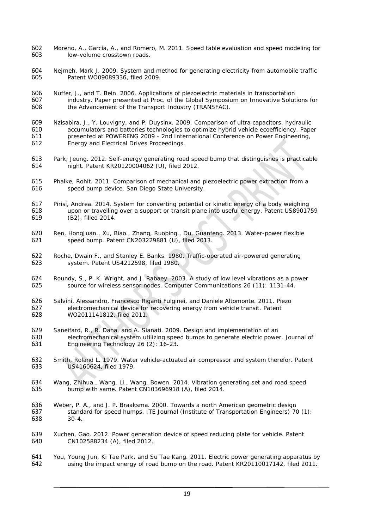- 602 Moreno, A., García, A., and Romero, M. 2011. *Speed table evaluation and speed modeling for*  603 *low-volume crosstown roads.*
- 604 Nejmeh, Mark J. 2009. *System and method for generating electricity from automobile traffic*  605 Patent WO09089336, filed 2009.
- 606 Nuffer, J., and T. Bein. 2006. Applications of piezoelectric materials in transportation<br>607 industry. Paper presented at Proc. of the Global Symposium on Innovative Solut 607 industry. Paper presented at Proc. of the Global Symposium on Innovative Solutions for<br>608 the Advancement of the Transport Industry (TRANSFAC). the Advancement of the Transport Industry (TRANSFAC).
- 609 Nzisabira, J., Y. Louvigny, and P. Duysinx. 2009. Comparison of ultra capacitors, hydraulic 610 accumulators and batteries technologies to optimize hybrid vehicle ecoefficiency. Paper 611 presented at POWERENG 2009 - 2nd International Conference on Power Engineering,<br>612 Fnergy and Flectrical Drives Proceedings. Energy and Electrical Drives Proceedings.
- 613 Park, Jeung. 2012. *Self-energy generating road speed bump that distinguishes is practicable*  614 *night*. Patent KR20120004062 (U), filed 2012.
- 615 Phalke, Rohit. 2011. Comparison of mechanical and piezoelectric power extraction from a<br>616 speed bump device. San Diego State University. speed bump device. San Diego State University.
- 617 Pirisi, Andrea. 2014. *System for converting potential or kinetic energy of a body weighing*  618 *upon or travelling over a support or transit plane into useful energy.* Patent US8901759<br>619 (B2), filled 2014.  $(B2)$ , filled 2014.
- 620 Ren, HongJuan., Xu, Biao., Zhang, Ruoping., Du, Guanfeng. 2013. *Water-power flexible*  speed bump. Patent CN203229881 (U), filed 2013.
- 622 Roche, Dwain F., and Stanley E. Banks. 1980. *Traffic-operated air-powered generating*  623 *system.* Patent US4212598, filed 1980.
- 624 Roundy, S., P. K. Wright, and J. Rabaey. 2003. A study of low level vibrations as a power<br>625 source for wireless sensor nodes. Computer Communications 26 (11): 1131-44. 625 source for wireless sensor nodes. *Computer Communications* 26 (11): 1131-44.
- 626 Salvini, Alessandro, Francesco Riganti Fulginei, and Daniele Altomonte. 2011. *Piezo*  627 *electromechanical device for recovering energy from vehicle transit.* Patent 628 WO2011141812, filed 2011.
- 629 Saneifard, R., R. Dana, and A. Sianati. 2009. Design and implementation of an<br>630 electromechanical system utilizing speed bumps to generate electric power 630 electromechanical system utilizing speed bumps to generate electric power. *Journal of*  631 *Engineering Technology* 26 (2): 16-23.
- 632 Smith, Roland L. 1979. *Water vehicle-actuated air compressor and system therefor.* Patent 633 US4160624, filed 1979. US4160624, filed 1979.
- 634 Wang, Zhihua., Wang, Li., Wang, Bowen. 2014. *Vibration generating set and road speed*  635 *bump with same*. Patent CN103696918 (A), filed 2014.
- 636 Weber, P. A., and J. P. Braaksma. 2000. Towards a north American geometric design<br>637 standard for speed humps. *ITE Journal (Institute of Transportation Engineers)* 70 637 standard for speed humps. *ITE Journal (Institute of Transportation Engineers)* 70 (1):  $30 - 4$
- 639 Xuchen, Gao. 2012. *Power generation device of speed reducing plate for vehicle*. Patent CN102588234 (A), filed 2012.
- 641 You, Young Jun, Ki Tae Park, and Su Tae Kang. 2011. *Electric power generating apparatus by*  using the impact energy of road bump on the road. Patent KR20110017142, filed 2011.